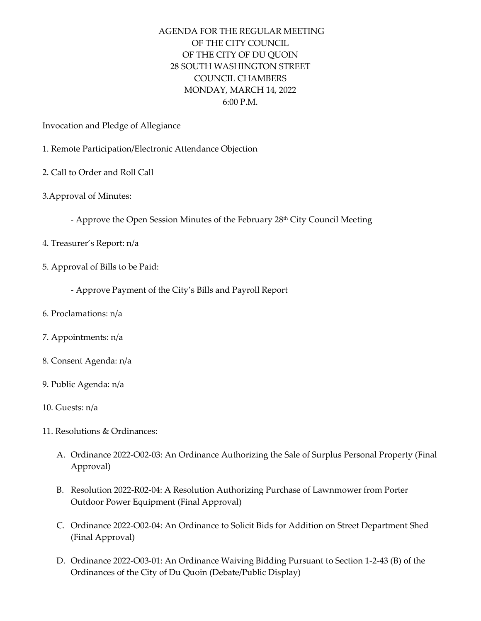## AGENDA FOR THE REGULAR MEETING OF THE CITY COUNCIL OF THE CITY OF DU QUOIN 28 SOUTH WASHINGTON STREET COUNCIL CHAMBERS MONDAY, MARCH 14, 2022 6:00 P.M.

Invocation and Pledge of Allegiance

- 1. Remote Participation/Electronic Attendance Objection
- 2. Call to Order and Roll Call
- 3.Approval of Minutes:
	- Approve the Open Session Minutes of the February 28<sup>th</sup> City Council Meeting
- 4. Treasurer's Report: n/a
- 5. Approval of Bills to be Paid:
	- Approve Payment of the City's Bills and Payroll Report
- 6. Proclamations: n/a
- 7. Appointments: n/a
- 8. Consent Agenda: n/a
- 9. Public Agenda: n/a
- 10. Guests: n/a
- 11. Resolutions & Ordinances:
	- A. Ordinance 2022-O02-03: An Ordinance Authorizing the Sale of Surplus Personal Property (Final Approval)
	- B. Resolution 2022-R02-04: A Resolution Authorizing Purchase of Lawnmower from Porter Outdoor Power Equipment (Final Approval)
	- C. Ordinance 2022-O02-04: An Ordinance to Solicit Bids for Addition on Street Department Shed (Final Approval)
	- D. Ordinance 2022-O03-01: An Ordinance Waiving Bidding Pursuant to Section 1-2-43 (B) of the Ordinances of the City of Du Quoin (Debate/Public Display)